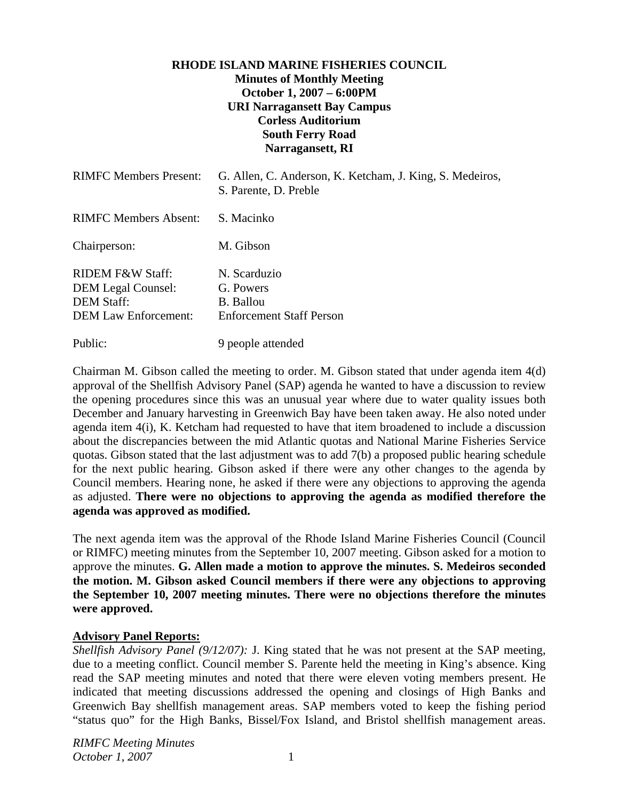## **RHODE ISLAND MARINE FISHERIES COUNCIL Minutes of Monthly Meeting October 1, 2007 – 6:00PM URI Narragansett Bay Campus Corless Auditorium South Ferry Road Narragansett, RI**

| <b>RIMFC Members Present:</b>                                                                                | G. Allen, C. Anderson, K. Ketcham, J. King, S. Medeiros,<br>S. Parente, D. Preble |
|--------------------------------------------------------------------------------------------------------------|-----------------------------------------------------------------------------------|
| <b>RIMFC Members Absent:</b>                                                                                 | S. Macinko                                                                        |
| Chairperson:                                                                                                 | M. Gibson                                                                         |
| <b>RIDEM F&amp;W Staff:</b><br><b>DEM Legal Counsel:</b><br><b>DEM Staff:</b><br><b>DEM Law Enforcement:</b> | N. Scarduzio<br>G. Powers<br>B. Ballou<br><b>Enforcement Staff Person</b>         |
| Public:                                                                                                      | 9 people attended                                                                 |

Chairman M. Gibson called the meeting to order. M. Gibson stated that under agenda item 4(d) approval of the Shellfish Advisory Panel (SAP) agenda he wanted to have a discussion to review the opening procedures since this was an unusual year where due to water quality issues both December and January harvesting in Greenwich Bay have been taken away. He also noted under agenda item 4(i), K. Ketcham had requested to have that item broadened to include a discussion about the discrepancies between the mid Atlantic quotas and National Marine Fisheries Service quotas. Gibson stated that the last adjustment was to add 7(b) a proposed public hearing schedule for the next public hearing. Gibson asked if there were any other changes to the agenda by Council members. Hearing none, he asked if there were any objections to approving the agenda as adjusted. **There were no objections to approving the agenda as modified therefore the agenda was approved as modified.**

The next agenda item was the approval of the Rhode Island Marine Fisheries Council (Council or RIMFC) meeting minutes from the September 10, 2007 meeting. Gibson asked for a motion to approve the minutes. **G. Allen made a motion to approve the minutes. S. Medeiros seconded the motion. M. Gibson asked Council members if there were any objections to approving the September 10, 2007 meeting minutes. There were no objections therefore the minutes were approved.** 

## **Advisory Panel Reports:**

*Shellfish Advisory Panel (9/12/07):* J. King stated that he was not present at the SAP meeting, due to a meeting conflict. Council member S. Parente held the meeting in King's absence. King read the SAP meeting minutes and noted that there were eleven voting members present. He indicated that meeting discussions addressed the opening and closings of High Banks and Greenwich Bay shellfish management areas. SAP members voted to keep the fishing period "status quo" for the High Banks, Bissel/Fox Island, and Bristol shellfish management areas.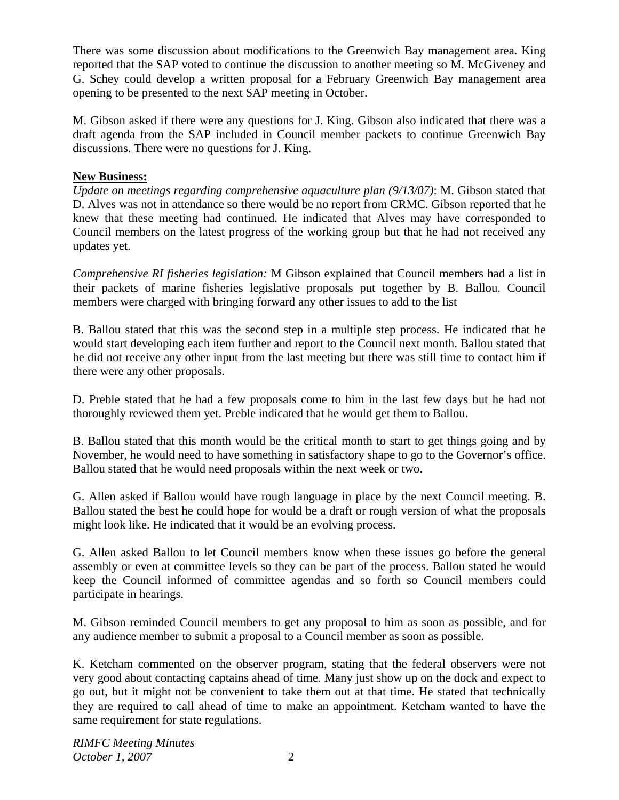There was some discussion about modifications to the Greenwich Bay management area. King reported that the SAP voted to continue the discussion to another meeting so M. McGiveney and G. Schey could develop a written proposal for a February Greenwich Bay management area opening to be presented to the next SAP meeting in October.

M. Gibson asked if there were any questions for J. King. Gibson also indicated that there was a draft agenda from the SAP included in Council member packets to continue Greenwich Bay discussions. There were no questions for J. King.

## **New Business:**

*Update on meetings regarding comprehensive aquaculture plan (9/13/07)*: M. Gibson stated that D. Alves was not in attendance so there would be no report from CRMC. Gibson reported that he knew that these meeting had continued. He indicated that Alves may have corresponded to Council members on the latest progress of the working group but that he had not received any updates yet.

*Comprehensive RI fisheries legislation:* M Gibson explained that Council members had a list in their packets of marine fisheries legislative proposals put together by B. Ballou. Council members were charged with bringing forward any other issues to add to the list

B. Ballou stated that this was the second step in a multiple step process. He indicated that he would start developing each item further and report to the Council next month. Ballou stated that he did not receive any other input from the last meeting but there was still time to contact him if there were any other proposals.

D. Preble stated that he had a few proposals come to him in the last few days but he had not thoroughly reviewed them yet. Preble indicated that he would get them to Ballou.

B. Ballou stated that this month would be the critical month to start to get things going and by November, he would need to have something in satisfactory shape to go to the Governor's office. Ballou stated that he would need proposals within the next week or two.

G. Allen asked if Ballou would have rough language in place by the next Council meeting. B. Ballou stated the best he could hope for would be a draft or rough version of what the proposals might look like. He indicated that it would be an evolving process.

G. Allen asked Ballou to let Council members know when these issues go before the general assembly or even at committee levels so they can be part of the process. Ballou stated he would keep the Council informed of committee agendas and so forth so Council members could participate in hearings.

M. Gibson reminded Council members to get any proposal to him as soon as possible, and for any audience member to submit a proposal to a Council member as soon as possible.

K. Ketcham commented on the observer program, stating that the federal observers were not very good about contacting captains ahead of time. Many just show up on the dock and expect to go out, but it might not be convenient to take them out at that time. He stated that technically they are required to call ahead of time to make an appointment. Ketcham wanted to have the same requirement for state regulations.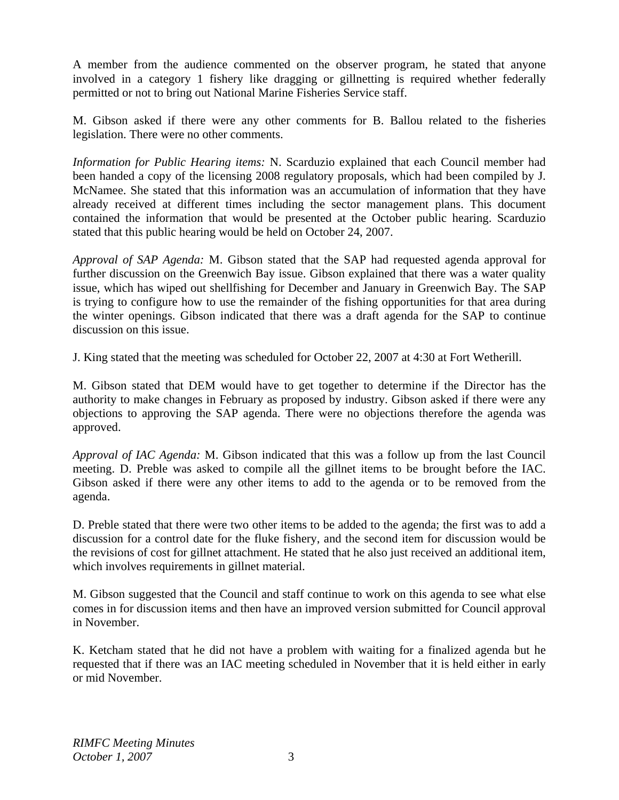A member from the audience commented on the observer program, he stated that anyone involved in a category 1 fishery like dragging or gillnetting is required whether federally permitted or not to bring out National Marine Fisheries Service staff.

M. Gibson asked if there were any other comments for B. Ballou related to the fisheries legislation. There were no other comments.

*Information for Public Hearing items:* N. Scarduzio explained that each Council member had been handed a copy of the licensing 2008 regulatory proposals, which had been compiled by J. McNamee. She stated that this information was an accumulation of information that they have already received at different times including the sector management plans. This document contained the information that would be presented at the October public hearing. Scarduzio stated that this public hearing would be held on October 24, 2007.

*Approval of SAP Agenda:* M. Gibson stated that the SAP had requested agenda approval for further discussion on the Greenwich Bay issue. Gibson explained that there was a water quality issue, which has wiped out shellfishing for December and January in Greenwich Bay. The SAP is trying to configure how to use the remainder of the fishing opportunities for that area during the winter openings. Gibson indicated that there was a draft agenda for the SAP to continue discussion on this issue.

J. King stated that the meeting was scheduled for October 22, 2007 at 4:30 at Fort Wetherill.

M. Gibson stated that DEM would have to get together to determine if the Director has the authority to make changes in February as proposed by industry. Gibson asked if there were any objections to approving the SAP agenda. There were no objections therefore the agenda was approved.

*Approval of IAC Agenda:* M. Gibson indicated that this was a follow up from the last Council meeting. D. Preble was asked to compile all the gillnet items to be brought before the IAC. Gibson asked if there were any other items to add to the agenda or to be removed from the agenda.

D. Preble stated that there were two other items to be added to the agenda; the first was to add a discussion for a control date for the fluke fishery, and the second item for discussion would be the revisions of cost for gillnet attachment. He stated that he also just received an additional item, which involves requirements in gillnet material.

M. Gibson suggested that the Council and staff continue to work on this agenda to see what else comes in for discussion items and then have an improved version submitted for Council approval in November.

K. Ketcham stated that he did not have a problem with waiting for a finalized agenda but he requested that if there was an IAC meeting scheduled in November that it is held either in early or mid November.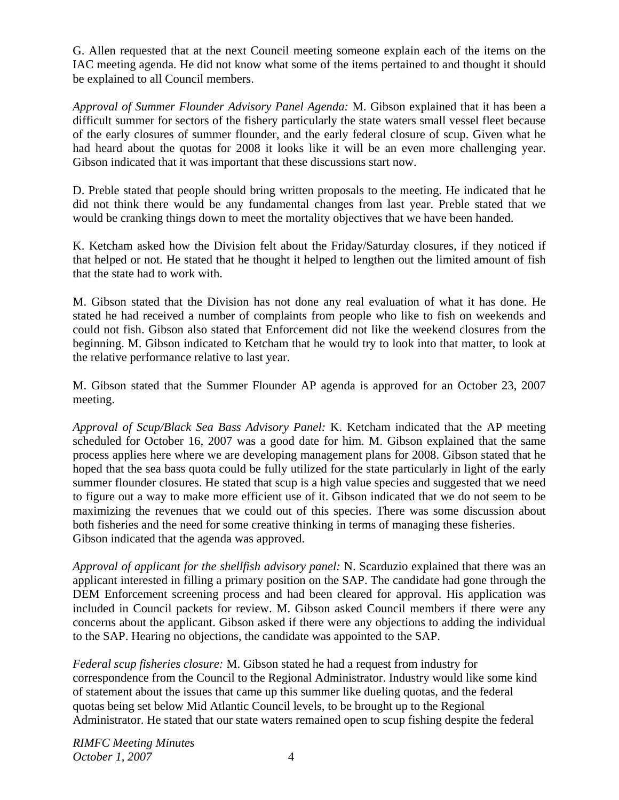G. Allen requested that at the next Council meeting someone explain each of the items on the IAC meeting agenda. He did not know what some of the items pertained to and thought it should be explained to all Council members.

*Approval of Summer Flounder Advisory Panel Agenda:* M. Gibson explained that it has been a difficult summer for sectors of the fishery particularly the state waters small vessel fleet because of the early closures of summer flounder, and the early federal closure of scup. Given what he had heard about the quotas for 2008 it looks like it will be an even more challenging year. Gibson indicated that it was important that these discussions start now.

D. Preble stated that people should bring written proposals to the meeting. He indicated that he did not think there would be any fundamental changes from last year. Preble stated that we would be cranking things down to meet the mortality objectives that we have been handed.

K. Ketcham asked how the Division felt about the Friday/Saturday closures, if they noticed if that helped or not. He stated that he thought it helped to lengthen out the limited amount of fish that the state had to work with.

M. Gibson stated that the Division has not done any real evaluation of what it has done. He stated he had received a number of complaints from people who like to fish on weekends and could not fish. Gibson also stated that Enforcement did not like the weekend closures from the beginning. M. Gibson indicated to Ketcham that he would try to look into that matter, to look at the relative performance relative to last year.

M. Gibson stated that the Summer Flounder AP agenda is approved for an October 23, 2007 meeting.

*Approval of Scup/Black Sea Bass Advisory Panel:* K. Ketcham indicated that the AP meeting scheduled for October 16, 2007 was a good date for him. M. Gibson explained that the same process applies here where we are developing management plans for 2008. Gibson stated that he hoped that the sea bass quota could be fully utilized for the state particularly in light of the early summer flounder closures. He stated that scup is a high value species and suggested that we need to figure out a way to make more efficient use of it. Gibson indicated that we do not seem to be maximizing the revenues that we could out of this species. There was some discussion about both fisheries and the need for some creative thinking in terms of managing these fisheries. Gibson indicated that the agenda was approved.

*Approval of applicant for the shellfish advisory panel:* N. Scarduzio explained that there was an applicant interested in filling a primary position on the SAP. The candidate had gone through the DEM Enforcement screening process and had been cleared for approval. His application was included in Council packets for review. M. Gibson asked Council members if there were any concerns about the applicant. Gibson asked if there were any objections to adding the individual to the SAP. Hearing no objections, the candidate was appointed to the SAP.

*Federal scup fisheries closure:* M. Gibson stated he had a request from industry for correspondence from the Council to the Regional Administrator. Industry would like some kind of statement about the issues that came up this summer like dueling quotas, and the federal quotas being set below Mid Atlantic Council levels, to be brought up to the Regional Administrator. He stated that our state waters remained open to scup fishing despite the federal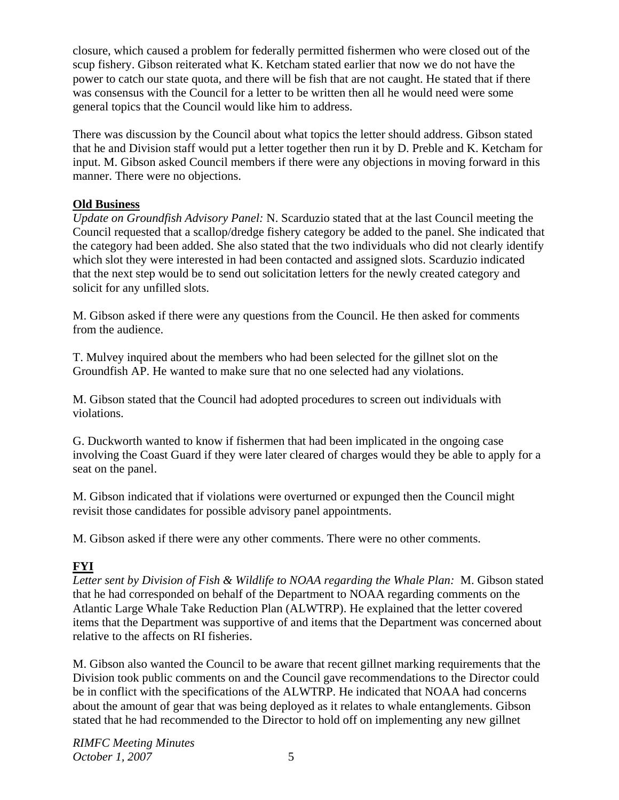closure, which caused a problem for federally permitted fishermen who were closed out of the scup fishery. Gibson reiterated what K. Ketcham stated earlier that now we do not have the power to catch our state quota, and there will be fish that are not caught. He stated that if there was consensus with the Council for a letter to be written then all he would need were some general topics that the Council would like him to address.

There was discussion by the Council about what topics the letter should address. Gibson stated that he and Division staff would put a letter together then run it by D. Preble and K. Ketcham for input. M. Gibson asked Council members if there were any objections in moving forward in this manner. There were no objections.

## **Old Business**

*Update on Groundfish Advisory Panel:* N. Scarduzio stated that at the last Council meeting the Council requested that a scallop/dredge fishery category be added to the panel. She indicated that the category had been added. She also stated that the two individuals who did not clearly identify which slot they were interested in had been contacted and assigned slots. Scarduzio indicated that the next step would be to send out solicitation letters for the newly created category and solicit for any unfilled slots.

M. Gibson asked if there were any questions from the Council. He then asked for comments from the audience.

T. Mulvey inquired about the members who had been selected for the gillnet slot on the Groundfish AP. He wanted to make sure that no one selected had any violations.

M. Gibson stated that the Council had adopted procedures to screen out individuals with violations.

G. Duckworth wanted to know if fishermen that had been implicated in the ongoing case involving the Coast Guard if they were later cleared of charges would they be able to apply for a seat on the panel.

M. Gibson indicated that if violations were overturned or expunged then the Council might revisit those candidates for possible advisory panel appointments.

M. Gibson asked if there were any other comments. There were no other comments.

# **FYI**

*Letter sent by Division of Fish & Wildlife to NOAA regarding the Whale Plan:* M. Gibson stated that he had corresponded on behalf of the Department to NOAA regarding comments on the Atlantic Large Whale Take Reduction Plan (ALWTRP). He explained that the letter covered items that the Department was supportive of and items that the Department was concerned about relative to the affects on RI fisheries.

M. Gibson also wanted the Council to be aware that recent gillnet marking requirements that the Division took public comments on and the Council gave recommendations to the Director could be in conflict with the specifications of the ALWTRP. He indicated that NOAA had concerns about the amount of gear that was being deployed as it relates to whale entanglements. Gibson stated that he had recommended to the Director to hold off on implementing any new gillnet